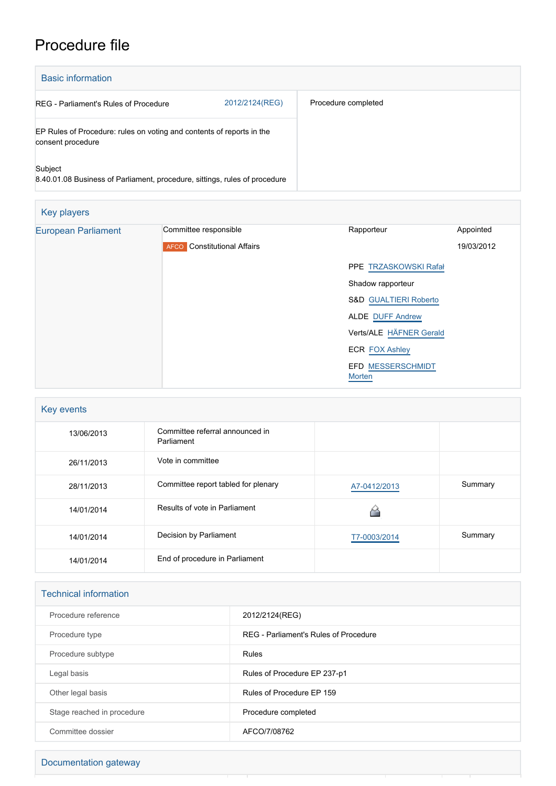## Procedure file

| <b>Basic information</b>                                                                   |                |                     |  |
|--------------------------------------------------------------------------------------------|----------------|---------------------|--|
| REG - Parliament's Rules of Procedure                                                      | 2012/2124(REG) | Procedure completed |  |
| EP Rules of Procedure: rules on voting and contents of reports in the<br>consent procedure |                |                     |  |
| Subject<br>8.40.01.08 Business of Parliament, procedure, sittings, rules of procedure      |                |                     |  |

| Key players                |                                                    |                                           |            |  |  |  |
|----------------------------|----------------------------------------------------|-------------------------------------------|------------|--|--|--|
| <b>European Parliament</b> | Committee responsible                              | Rapporteur                                | Appointed  |  |  |  |
|                            | <b>Constitutional Affairs</b><br>AFCO <sup>'</sup> |                                           | 19/03/2012 |  |  |  |
|                            |                                                    | PPE TRZASKOWSKI Rafał                     |            |  |  |  |
|                            |                                                    | Shadow rapporteur                         |            |  |  |  |
|                            |                                                    | S&D GUALTIERI Roberto                     |            |  |  |  |
|                            |                                                    | <b>ALDE DUFF Andrew</b>                   |            |  |  |  |
|                            |                                                    | Verts/ALE HÄFNER Gerald                   |            |  |  |  |
|                            |                                                    | <b>ECR FOX Ashley</b>                     |            |  |  |  |
|                            |                                                    | <b>EFD MESSERSCHMIDT</b><br><b>Morten</b> |            |  |  |  |

| Key events |                                               |              |         |
|------------|-----------------------------------------------|--------------|---------|
| 13/06/2013 | Committee referral announced in<br>Parliament |              |         |
| 26/11/2013 | Vote in committee                             |              |         |
| 28/11/2013 | Committee report tabled for plenary           | A7-0412/2013 | Summary |
| 14/01/2014 | Results of vote in Parliament                 |              |         |
| 14/01/2014 | Decision by Parliament                        | T7-0003/2014 | Summary |
| 14/01/2014 | End of procedure in Parliament                |              |         |

| <b>Technical information</b> |                                       |  |
|------------------------------|---------------------------------------|--|
| Procedure reference          | 2012/2124(REG)                        |  |
| Procedure type               | REG - Parliament's Rules of Procedure |  |
| Procedure subtype            | Rules                                 |  |
| Legal basis                  | Rules of Procedure EP 237-p1          |  |
| Other legal basis            | Rules of Procedure EP 159             |  |
| Stage reached in procedure   | Procedure completed                   |  |
| Committee dossier            | AFCO/7/08762                          |  |

Documentation gateway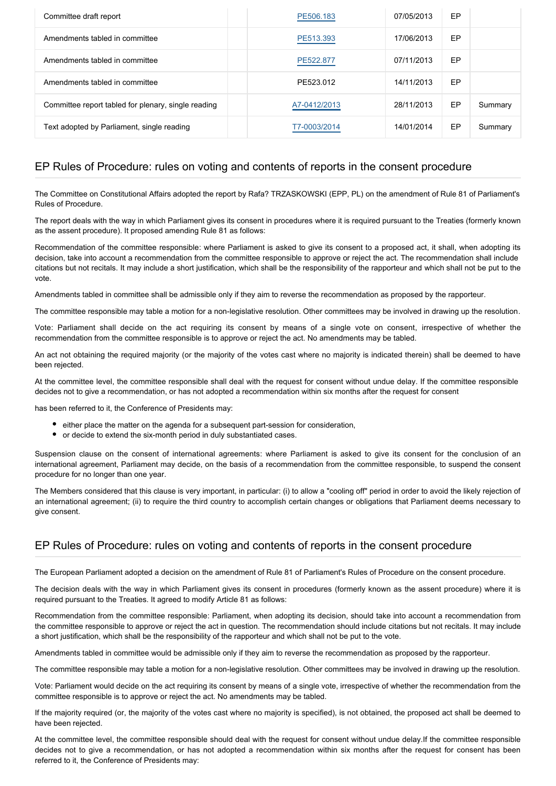| Committee draft report                              | PE506.183    | 07/05/2013 | EP |         |
|-----------------------------------------------------|--------------|------------|----|---------|
| Amendments tabled in committee                      | PE513.393    | 17/06/2013 | EP |         |
| Amendments tabled in committee                      | PE522.877    | 07/11/2013 | EP |         |
| Amendments tabled in committee                      | PE523.012    | 14/11/2013 | EP |         |
| Committee report tabled for plenary, single reading | A7-0412/2013 | 28/11/2013 | EP | Summary |
| Text adopted by Parliament, single reading          | T7-0003/2014 | 14/01/2014 | EP | Summary |

## EP Rules of Procedure: rules on voting and contents of reports in the consent procedure

The Committee on Constitutional Affairs adopted the report by Rafa? TRZASKOWSKI (EPP, PL) on the amendment of Rule 81 of Parliament's Rules of Procedure.

The report deals with the way in which Parliament gives its consent in procedures where it is required pursuant to the Treaties (formerly known as the assent procedure). It proposed amending Rule 81 as follows:

Recommendation of the committee responsible: where Parliament is asked to give its consent to a proposed act, it shall, when adopting its decision, take into account a recommendation from the committee responsible to approve or reject the act. The recommendation shall include citations but not recitals. It may include a short justification, which shall be the responsibility of the rapporteur and which shall not be put to the vote.

Amendments tabled in committee shall be admissible only if they aim to reverse the recommendation as proposed by the rapporteur.

The committee responsible may table a motion for a non-legislative resolution. Other committees may be involved in drawing up the resolution.

Vote: Parliament shall decide on the act requiring its consent by means of a single vote on consent, irrespective of whether the recommendation from the committee responsible is to approve or reject the act. No amendments may be tabled.

An act not obtaining the required majority (or the majority of the votes cast where no majority is indicated therein) shall be deemed to have been rejected.

At the committee level, the committee responsible shall deal with the request for consent without undue delay. If the committee responsible decides not to give a recommendation, or has not adopted a recommendation within six months after the request for consent

has been referred to it, the Conference of Presidents may:

- either place the matter on the agenda for a subsequent part-session for consideration,
- or decide to extend the six-month period in duly substantiated cases.

Suspension clause on the consent of international agreements: where Parliament is asked to give its consent for the conclusion of an international agreement, Parliament may decide, on the basis of a recommendation from the committee responsible, to suspend the consent procedure for no longer than one year.

The Members considered that this clause is very important, in particular: (i) to allow a "cooling off" period in order to avoid the likely rejection of an international agreement; (ii) to require the third country to accomplish certain changes or obligations that Parliament deems necessary to give consent.

## EP Rules of Procedure: rules on voting and contents of reports in the consent procedure

The European Parliament adopted a decision on the amendment of Rule 81 of Parliament's Rules of Procedure on the consent procedure.

The decision deals with the way in which Parliament gives its consent in procedures (formerly known as the assent procedure) where it is required pursuant to the Treaties. It agreed to modify Article 81 as follows:

Recommendation from the committee responsible: Parliament, when adopting its decision, should take into account a recommendation from the committee responsible to approve or reject the act in question. The recommendation should include citations but not recitals. It may include a short justification, which shall be the responsibility of the rapporteur and which shall not be put to the vote.

Amendments tabled in committee would be admissible only if they aim to reverse the recommendation as proposed by the rapporteur.

The committee responsible may table a motion for a non-legislative resolution. Other committees may be involved in drawing up the resolution.

Vote: Parliament would decide on the act requiring its consent by means of a single vote, irrespective of whether the recommendation from the committee responsible is to approve or reject the act. No amendments may be tabled.

If the majority required (or, the majority of the votes cast where no majority is specified), is not obtained, the proposed act shall be deemed to have been rejected.

At the committee level, the committee responsible should deal with the request for consent without undue delay.If the committee responsible decides not to give a recommendation, or has not adopted a recommendation within six months after the request for consent has been referred to it, the Conference of Presidents may: